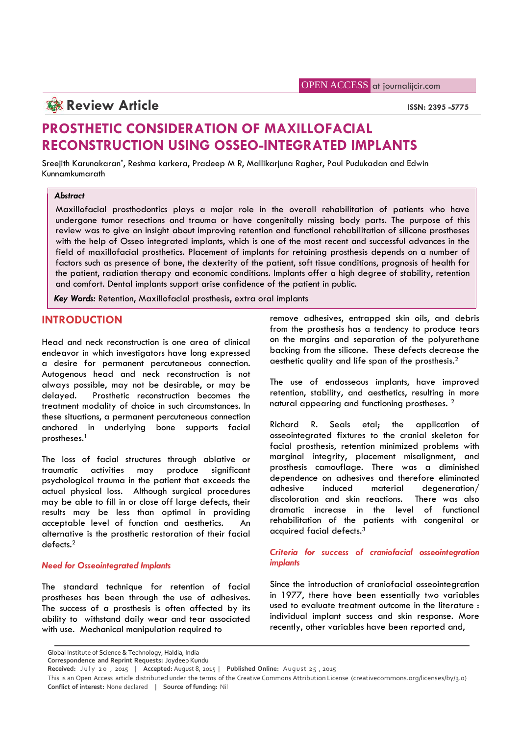# **Review Article ISSN: 2395 -5775**

# **PROSTHETIC CONSIDERATION OF MAXILLOFACIAL RECONSTRUCTION USING OSSEO-INTEGRATED IMPLANTS**

Sreejith Karunakaran\* , Reshma karkera, Pradeep M R, Mallikarjuna Ragher, Paul Pudukadan and Edwin Kunnamkumarath

## *Abstract*

Maxillofacial prosthodontics plays a major role in the overall rehabilitation of patients who have undergone tumor resections and trauma or have congenitally missing body parts. The purpose of this review was to give an insight about improving retention and functional rehabilitation of silicone prostheses with the help of Osseo integrated implants, which is one of the most recent and successful advances in the field of maxillofacial prosthetics. Placement of implants for retaining prosthesis depends on a number of factors such as presence of bone, the dexterity of the patient, soft tissue conditions, prognosis of health for the patient, radiation therapy and economic conditions. Implants offer a high degree of stability, retention and comfort. Dental implants support arise confidence of the patient in public.

*Key Words:* Retention, Maxillofacial prosthesis, extra oral implants

# **INTRODUCTION**

Head and neck reconstruction is one area of clinical endeavor in which investigators have long expressed a desire for permanent percutaneous connection. Autogenous head and neck reconstruction is not always possible, may not be desirable, or may be delayed. Prosthetic reconstruction becomes the treatment modality of choice in such circumstances. In these situations, a permanent percutaneous connection anchored in underlying bone supports facial prostheses.<sup>1</sup>

The loss of facial structures through ablative or traumatic activities may produce significant psychological trauma in the patient that exceeds the actual physical loss. Although surgical procedures may be able to fill in or close off large defects, their results may be less than optimal in providing acceptable level of function and aesthetics. An alternative is the prosthetic restoration of their facial defects.<sup>2</sup>

## *Need for Osseointegrated Implants*

The standard technique for retention of facial prostheses has been through the use of adhesives. The success of a prosthesis is often affected by its ability to withstand daily wear and tear associated with use. Mechanical manipulation required to

remove adhesives, entrapped skin oils, and debris from the prosthesis has a tendency to produce tears on the margins and separation of the polyurethane backing from the silicone. These defects decrease the aesthetic quality and life span of the prosthesis.<sup>2</sup>

The use of endosseous implants, have improved retention, stability, and aesthetics, resulting in more natural appearing and functioning prostheses. <sup>2</sup>

R. Seals etal: the application of osseointegrated fixtures to the cranial skeleton for facial prosthesis, retention minimized problems with marginal integrity, placement misalignment, and prosthesis camouflage. There was a diminished dependence on adhesives and therefore eliminated  $induced$  material degeneration/ discoloration and skin reactions. There was also dramatic increase in the level of functional rehabilitation of the patients with congenital or acquired facial defects.<sup>3</sup>

## *Criteria for success of craniofacial osseointegration implants*

Since the introduction of craniofacial osseointegration in 1977, there have been essentially two variables used to evaluate treatment outcome in the literature : individual implant success and skin response. More recently, other variables have been reported and,

Global Institute of Science & Technology, Haldia, India

**Correspondence and Reprint Requests:** Joydeep Kundu

ith use. Mechanical manipulation required to<br>
Global Institute of Science & Technology, Haldia, India<br>
Correspondence and Reprint Requests: Joydeep Kundu<br>
Received: July 20, 2015 | Accepted: August 8, 2015 | Published Onli **Conflict of interest:** None declared | **Source of funding:** Nil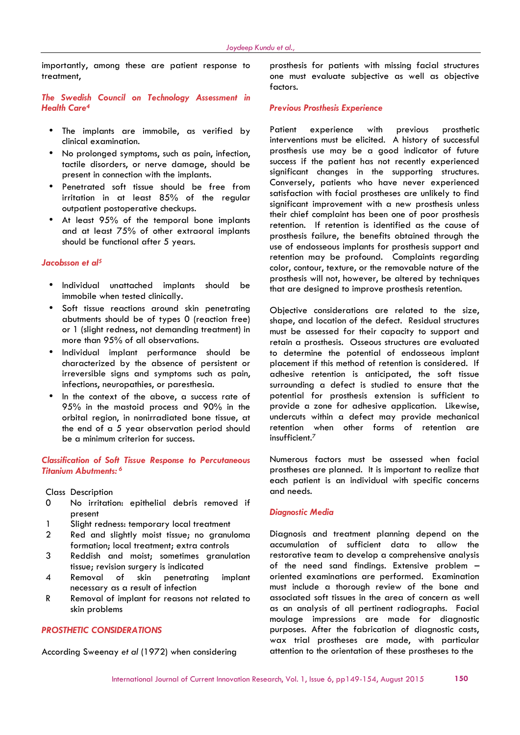importantly, among these are patient response to treatment,

*The Swedish Council on Technology Assessment in Health Care<sup>4</sup>*

- The implants are immobile, as verified by Patient clinical examination.
- No prolonged symptoms, such as pain, infection, tactile disorders, or nerve damage, should be present in connection with the implants.
- Penetrated soft tissue should be free from irritation in at least 85% of the regular outpatient postoperative checkups.
- At least 95% of the temporal bone implants and at least 75% of other extraoral implants should be functional after 5 years.

## *Jacobsson et al<sup>5</sup>*

- Individual unattached implants should be immobile when tested clinically.
- Soft tissue reactions around skin penetrating abutments should be of types 0 (reaction free) or 1 (slight redness, not demanding treatment) in more than 95% of all observations.
- Individual implant performance should be characterized by the absence of persistent or irreversible signs and symptoms such as pain, infections, neuropathies, or paresthesia.
- In the context of the above, a success rate of 95% in the mastoid process and 90% in the orbital region, in nonirradiated bone tissue, at the end of a 5 year observation period should be a minimum criterion for success.

#### *Classification of Soft Tissue Response to Percutaneous Titanium Abutments: <sup>6</sup>*

## Class Description

- 0 No irritation: epithelial debris removed if present
- 1 Slight redness: temporary local treatment
- 2 Red and slightly moist tissue; no granuloma formation; local treatment; extra controls
- 3 Reddish and moist; sometimes granulation tissue; revision surgery is indicated
- 4 Removal of skin penetrating implant necessary as a result of infection
- R Removal of implant for reasons not related to skin problems

## *PROSTHETIC CONSIDERATIONS*

According Sweenay *et al* (1972) when considering

prosthesis for patients with missing facial structures one must evaluate subjective as well as objective factors.

#### *Previous Prosthesis Experience*

experience with previous prosthetic interventions must be elicited. A history of successful prosthesis use may be a good indicator of future success if the patient has not recently experienced significant changes in the supporting structures. Conversely, patients who have never experienced satisfaction with facial prostheses are unlikely to find significant improvement with a new prosthesis unless their chief complaint has been one of poor prosthesis retention. If retention is identified as the cause of prosthesis failure, the benefits obtained through the use of endosseous implants for prosthesis support and retention may be profound. Complaints regarding color, contour, texture, or the removable nature of the prosthesis will not, however, be altered by techniques that are designed to improve prosthesis retention.

Objective considerations are related to the size, shape, and location of the defect. Residual structures must be assessed for their capacity to support and retain a prosthesis. Osseous structures are evaluated to determine the potential of endosseous implant placement if this method of retention is considered. If adhesive retention is anticipated, the soft tissue surrounding a defect is studied to ensure that the potential for prosthesis extension is sufficient to provide a zone for adhesive application. Likewise, undercuts within a defect may provide mechanical retention when other forms of retention are insufficient.<sup>7</sup>

Numerous factors must be assessed when facial prostheses are planned. It is important to realize that each patient is an individual with specific concerns and needs.

## *Diagnostic Media*

Diagnosis and treatment planning depend on the accumulation of sufficient data to allow the restorative team to develop a comprehensive analysis of the need sand findings. Extensive problem – oriented examinations are performed. Examination must include a thorough review of the bone and associated soft tissues in the area of concern as well as an analysis of all pertinent radiographs. Facial moulage impressions are made for diagnostic purposes. After the fabrication of diagnostic casts, wax trial prostheses are made, with particular attention to the orientation of these prostheses to the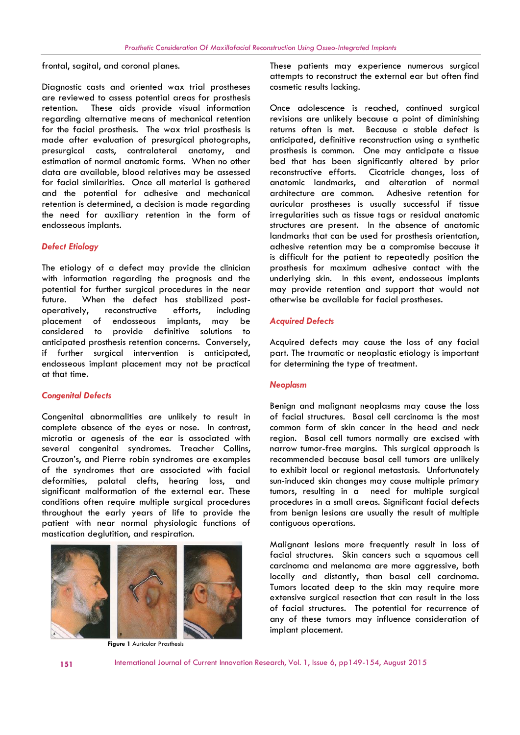## frontal, sagital, and coronal planes.

Diagnostic casts and oriented wax trial prostheses are reviewed to assess potential areas for prosthesis retention. These aids provide visual information regarding alternative means of mechanical retention for the facial prosthesis. The wax trial prosthesis is made after evaluation of presurgical photographs, presurgical casts, contralateral anatomy, and estimation of normal anatomic forms. When no other data are available, blood relatives may be assessed for facial similarities. Once all material is gathered and the potential for adhesive and mechanical retention is determined, a decision is made regarding the need for auxiliary retention in the form of endosseous implants. reviewed to assess potential<br>ntion. These aids provide<br>arding alternative means of r<br>the facial prosthesis. The wo

## *Defect Etiology*

The etiology of a defect may provide the clinician with information regarding the prognosis and the potential for further surgical procedures in the near future. When the defect has stabilized post operatively, reconstructive efforts, including placement of endosseous implants, may be considered to provide definitive solutions to anticipated prosthesis retention concerns. Conversely, if further surgical intervention is anticipated, endosseous implant placement may not be practical at that time.

## *Congenital Defects*

Congenital abnormalities are unlikely to result in complete absence of the eyes or nose. In contrast, microtia or agenesis of the ear is associated with several congenital syndromes. Treacher Collins, Crouzon's, and Pierre robin syndromes are examples of the syndromes that are associated with facial deformities, palatal clefts, hearing loss, and significant malformation of the external ear. These conditions often require multiple surgical procedures throughout the early years of life to provide the patient with near normal physiologic functions of mastication deglutition, and respiration.



**Figure 1** Auricular Prosthesis

These patients may experience numerous surgical attempts to reconstruct the external ear but often find cosmetic results lacking.

Once adolescence is reached, continued surgical revisions are unlikely because a point of diminishing returns often is met. Because a stable defect is anticipated, definitive reconstruction using a synthetic prosthesis is common. One may anticipate a tissue bed that has been significantly altered by prior Cicatricle changes, loss of anatomic landmarks, and alteration of normal architecture are common. Adhesive retention for auricular prostheses is usually successful if tissue irregularities such as tissue tags or residual anatomic structures are present. In the absence of anatomic landmarks that can be used for prosthesis orientation, adhesive retention may be a compromise because it is difficult for the patient to repeatedly position the prosthesis for maximum adhesive contact with the underlying skin. In this event, endosseous implants may provide retention and support that would not otherwise be available for facial prostheses. lanes. These patients may experience and<br>these states connectic the external estimate of the control of the external estimated the control of the control of the control of the control of the control of the control of the c frontd, is cordinal control proses with provide and the particles auxiliary in the surgical of provide the surgical of the surgical of provide the surgical of the surgical of provide the surgical of the surgical of provide Disguesia: costs or criterion of the eyes of conservation of the eyes or nose. In contrast, and the eyes of the eyes of the eyes of the eyes of the eyes of the eyes of the eyes of the eyes of the eyes of the eyes of the e lacking.<br>Poince is reached, continuitively because a point<br>point and the act of the and the state and the state and the state and the state and the state and the state a<br>point of the state and the state and the state and t

## *Acquired Defects*

Acquired defects may cause the loss of any facial part. The traumatic or neoplastic etiology is important for determining the type of treatment.

#### *Neoplasm*

Benign and malignant neoplasms may cause the loss of facial structures. Basal cell carcinoma is the most common form of skin cancer in the head and neck region. Basal cell tumors normally are excised with narrow tumor-free margins. This surgical approach is recommended because basal cell tumors are unlikely to exhibit local or regional metastasis. Unfortunately sun-induced skin changes may cause multiple primary tumors, resulting in a need for multiple surgical procedures in a small areas. Significant facial defects from benign lesions are usually the result of multiple contiguous operations. may provide retention and support that would not<br>otherwise be available for facial prostheses.<br>Acquired Defects<br>Acquired defects may cause the loss of any facial<br>part. The traumatic or neoplastic etiology is important<br>for structures are present. In the absence of anatomic<br>
landmenks that can be used for prosthesis orientation,<br>
landmenks is difficult for the patient to repeatedly position the<br>
prosthesis for maximum adhesive contact with th

Malignant lesions more frequently result in loss of facial structures. Skin cancers such a squamous cell carcinoma and melanoma are more aggressive, both locally and distantly, than basal cell carcinoma. Tumors located deep to the skin may require more extensive surgical resection that can result in the loss of facial structures. The potential for recurrence of any of these tumors may influence consideration of implant placement. tructures. Skin cancers such a squamous cell<br>na and melanoma are more aggressive, both<br>and distantly, than basal cell carcinoma.<br>located deep to the skin may require more<br>re surgical resection that can result in the loss<br>a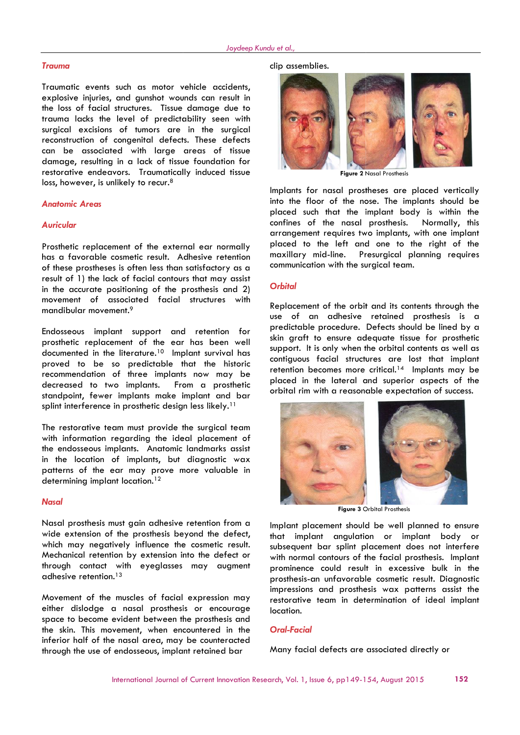#### *Trauma*

Traumatic events such as motor vehicle accidents, explosive injuries, and gunshot wounds can result in the loss of facial structures. Tissue damage due to trauma lacks the level of predictability seen with surgical excisions of tumors are in the surgical reconstruction of congenital defects. These defects can be associated with large areas of tissue damage, resulting in a lack of tissue foundation for restorative endeavors. Traumatically induced tissue loss, however, is unlikely to recur.<sup>8</sup> explosive injuries, and gunshot words con result in<br>the loss of ficcial structures. Tissue damage due to<br>trauma lacks the level of predictability seen with<br>exact survey the reversion of congenital defects. These defects<br>de Troumotic events such as motor vehicle accidents,<br>
respective injurity and gunshow wounds can result in<br>
the loss of focial structures. Tissue damage due to<br>
reconstruction of congenies teaming with the surgical<br>
reconstr

### *Anatomic Areas*

## *Auricular*

Prosthetic replacement of the external ear normally has a favorable cosmetic result. Adhesive retention of these prostheses is often less than satisfactory as a result of 1) the lack of facial contours that may assist in the accurate positioning of the prosthesis and 2) 2) movement of associated facial structures with mandibular movement.<sup>9</sup>

Endosseous implant support and retention for prosthetic replacement of the ear has been well documented in the literature.<sup>10</sup> Implant survival has proved to be so predictable that the historic recommendation of three implants now may be decreased to two implants. From a prosthetic standpoint, fewer implants make implant and bar splint interference in prosthetic design less likely.<sup>11</sup>

The restorative team must provide the surgical team with information regarding the ideal placement of the endosseous implants. Anatomic landmarks assist in the location of implants, but diagnostic wax patterns of the ear may prove more valuable in determining implant location.<sup>12</sup>

## *Nasal*

Nasal prosthesis must gain adhesive retention from a wide extension of the prosthesis beyond the defect, which may negatively influence the cosmetic result. Mechanical retention by extension into the defect or through contact with eyeglasses may augment adhesive retention.<sup>13</sup>

Movement of the muscles of facial expression may either dislodge a nasal prosthesis or encourage space to become evident between the prosthesis and the skin. This movement, when encountered in the inferior half of the nasal area, may be counteracted through the use of endosseous, implant retained bar

#### clip assemblies.



**Figure 2** Nasal Prosthesis

Implants for nasal prostheses are placed vertically into the floor of the nose. The implants should be placed such that the implant body is within the confines of the nasal prosthesis. Normally, this arrangement requires two implants, with one implant placed to the left and one to the right of the maxillary mid-line. Presurgical planning requires communication with the surgical team.

#### *Orbital*

Replacement of the orbit and its contents through the use of an adhesive retained prosthesis is a predictable procedure. Defects should be lined by a skin graft to ensure adequate tissue for prosthetic support. It is only when the orbital contents as well as contiguous facial structures are lost that implant retention becomes more critical.<sup>14</sup> Implants may be placed in the lateral and superior aspects of the orbital rim with a reasonable expectation of success.



**Figure 3** Orbital Prosthesis

Implant placement should be well planned to ensure that implant angulation or implant body or subsequent bar splint placement does not interfere with normal contours of the facial prosthesis. Implant prominence could result in excessive bulk in the prominence could result in excessive bulk in the<br>prosthesis-an unfavorable cosmetic result. Diagnostic impressions and prosthesis wax patterns assist the restorative team in determination of ideal implant location.

#### *Oral-Facial*

Many facial defects are associated directly or associated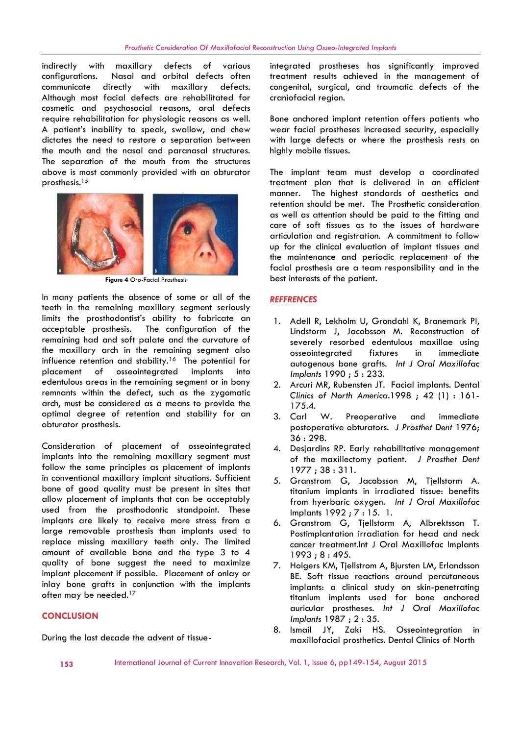indirectly with maxillary defects of various configurations. Nasal and orbital defects often communicate directly with maxillary defects. Although most facial defects are rehabilitated for cosmetic and psychosocial reasons, oral defects require rehabilitation for physiologic reasons as well. A patient's inability to speak, swallow, and chew dictates the need to restore a separation between the mouth and the nasal and paranasal structures. The separation of the mouth from the structures above is most commonly provided with an obturator prosthesis.<sup>15</sup> indirectly with maxillary defects of var<br>configurations. Nasal and orbital defects of<br>communicate directly with maxillary defects or<br>Although most facial defects are rehabilitated<br>cosmetic and psychosocial reasons, oral de



**Figure 4** Oro-Facial Prosthesis

In many patients the absence of some or all of the teeth in the remaining maxillary segment seriously limits the prosthodontist's ability to fabricate an acceptable prosthesis. The configuration of the remaining had and soft palate and the curvature of the maxillary arch in the remaining segment also influence retention and stability.<sup>16</sup> The potential for placement of osseointegrated implants into edentulous areas in the remaining segment or in bony remnants within the defect, such as the zygomatic arch, must be considered as a means to provide the optimal degree of retention and stability for an obturator prosthesis.

Consideration of placement of osseointegrated implants into the remaining maxillary segment must follow the same principles as placement of implants in conventional maxillary implant situations. Sufficient bone of good quality must be present in sites that allow placement of implants that can be acceptably used from the prosthodontic standpoint. These implants are likely to receive more stress from a  $6.$ large removable prosthesis than implants used to replace missing maxillary teeth only. The limited amount of available bone and the type 3 to 4 quality of bone suggest the need to maximize implant placement if possible. Placement of onlay or inlay bone grafts in conjunction with the implants often may be needed.<sup>17</sup> Consideration of placement of osseointegrated<br>implants into the remaining maxillary segment must<br>follow the same principles as placement of implants<br>in conventional maxillary implant situations. Sufficient<br>bone of good qua with meaning the state of verious integrated procedure is not significantly improved the mail to of the mail to of the main of the main of the main of the main of the main of the main of the main of the main of the main o

## **CONCLUSION**

During the last decade the advent of tissue-

integrated prostheses has significantly improved treatment results achieved in the management of congenital, surgical, and traumatic defects of the craniofacial region.

Bone anchored implant retention offers patients who wear facial prostheses increased security, especially with large defects or where the prosthesis rests on highly mobile tissues.

The implant team must develop a coordinated treatment plan that is delivered in an efficient manner. The highest standards of aesthetics and retention should be met. The Prosthetic consideration as well as attention should be paid to the fitting and care of soft tissues as to the issues of hardware articulation and registration. A commitment to follow up for the clinical evaluation of implant tissues and the maintenance and periodic replacement of the facial prosthesis are a team responsibility and in the best interests of the patient. defects of various integrated prostheses has signific orbital defects of various integrated prostheses has signification in the rehabilitated of the canonical degricon, and the reasons, oral defects compendical region. Th treatment results achieved in the management of<br>
econneindo, sargical, and traumatic defects of the<br>
econneindocial region.<br>
Bone anchored implant retention offers patients who<br>
wear facial prostheses increased security, e

## *REFFRENCES*

- 1. Adell R, Lekholm U, Grondahl K, Branemark PI, Lindstorm J, Jacobsson M. Reconstruction of severely resorbed edentulous maxillae using osseointegrated fixtures in immediate autogenous bone grafts. *Int J Oral Maxillofac Implants* 1990 ; 5 : 233.
- 2. Arcuri MR, Rubensten JT. Facial implants. Dental *Clinics of North America*.1998 ; 42 (1) : 161- 175.4.
- 3. Carl W. Preoperative and immediate postoperative obturators*. J Prosthet Dent* 1976; 36 : 298.
- Desjardins RP. Early rehabilitative management of the maxillectomy patient. *J Prosthet Dent* 1977 ; 38 : 311.
- 5. Granstrom G, Jacobsson M, Tjellstorm A. titanium implants in irradiated tissue: benefits from hyerbaric oxygen. *Int J Oral Maxillofac* Implants 1992 ; 7 : 15. 1.
- 6. Granstrom G, Tjellstorm A, Albrektsson T. Postimplantation irradiation for head and neck cancer treatment.Int J Oral Maxillofac Implants 1993 ; 8 : 495. strom G, Jacobsson M, Tjellstorm A.<br>
hm implants in irradiated tissue: benefits<br>
hyerbaric oxygen. Int J Oral Maxillofac<br>
nts 1992 ; 7 : 15. 1.<br>
strom G, Tjellstorm A, Albrektsson T.<br>
nplantation irradiation for head and n
- 7. Holgers KM, Tjellstrom A, Bjursten LM, Erlandsson BE. Soft tissue reactions around percutaneous implants: a clinical study on skin-penetrating titanium implants used for bone anchored auricular prostheses. *Int J Oral Maxillofac Int Implants* 1987 ; 2 : 35. Vol. 2015the Postimplantation irradiation for head and<br>
cancer treatment.Int J Oral Maxillofac Imp<br>
1993 ; 8 : 495.<br>
7. Holgers KM, Tjellstrom A, Bjursten LM, Erland<br>
BE. Soft tissue reactions around percutar<br>
implants: a clinical stud
	- 8. Ismail JY, Zaki HS. Osseointegration in Implants 1987 ; 2 : 35.<br>Ismail IV, Zaki HS. Osseointegration in<br>maxillofacial prosthetics. Dental Clinics of North